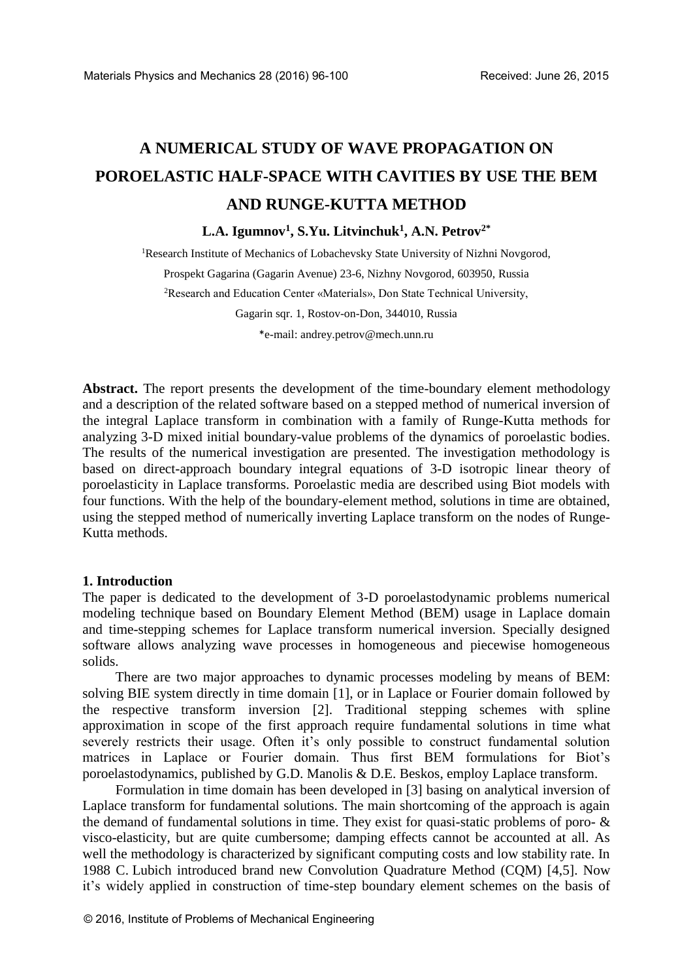# **A NUMERICAL STUDY OF WAVE PROPAGATION ON POROELASTIC HALF-SPACE WITH CAVITIES BY USE THE BEM AND RUNGE-KUTTA METHOD**

# **L.A. Igumnov<sup>1</sup> , S.Yu. Litvinchuk<sup>1</sup> , A.N. Petrov2\***

<sup>1</sup>Research Institute of Mechanics of Lobachevsky State University of Nizhni Novgorod, Prospekt Gagarina (Gagarin Avenue) 23-6, Nizhny Novgorod, 603950, Russia <sup>2</sup>Research and Education Center «Materials», Don State Technical University, Gagarin sqr. 1, Rostov-on-Don, 344010, Russia \*e-mail: [andrey.petrov@mech.unn.ru](mailto:andrey.petrov@mech.unn.ru)

**Abstract.** The report presents the development of the time-boundary element methodology and a description of the related software based on a stepped method of numerical inversion of the integral Laplace transform in combination with a family of Runge-Kutta methods for analyzing 3-D mixed initial boundary-value problems of the dynamics of poroelastic bodies. The results of the numerical investigation are presented. The investigation methodology is based on direct-approach boundary integral equations of 3-D isotropic linear theory of poroelasticity in Laplace transforms. Poroelastic media are described using Biot models with four functions. With the help of the boundary-element method, solutions in time are obtained, using the stepped method of numerically inverting Laplace transform on the nodes of Runge-Kutta methods.

## **1. Introduction**

The paper is dedicated to the development of 3-D poroelastodynamic problems numerical modeling technique based on Boundary Element Method (BEM) usage in Laplace domain and time-stepping schemes for Laplace transform numerical inversion. Specially designed software allows analyzing wave processes in homogeneous and piecewise homogeneous solids.

There are two major approaches to dynamic processes modeling by means of BEM: solving BIE system directly in time domain [1], or in Laplace or Fourier domain followed by the respective transform inversion [2]. Traditional stepping schemes with spline approximation in scope of the first approach require fundamental solutions in time what severely restricts their usage. Often it's only possible to construct fundamental solution matrices in Laplace or Fourier domain. Thus first BEM formulations for Biot's poroelastodynamics, published by G.D. Manolis & D.E. Beskos, employ Laplace transform.

Formulation in time domain has been developed in [3] basing on analytical inversion of Laplace transform for fundamental solutions. The main shortcoming of the approach is again the demand of fundamental solutions in time. They exist for quasi-static problems of poro- & visco-elasticity, but are quite cumbersome; damping effects cannot be accounted at all. As well the methodology is characterized by significant computing costs and low stability rate. In 1988 C. Lubich introduced brand new Convolution Quadrature Method (CQM) [4,5]. Now it's widely applied in construction of time-step boundary element schemes on the basis of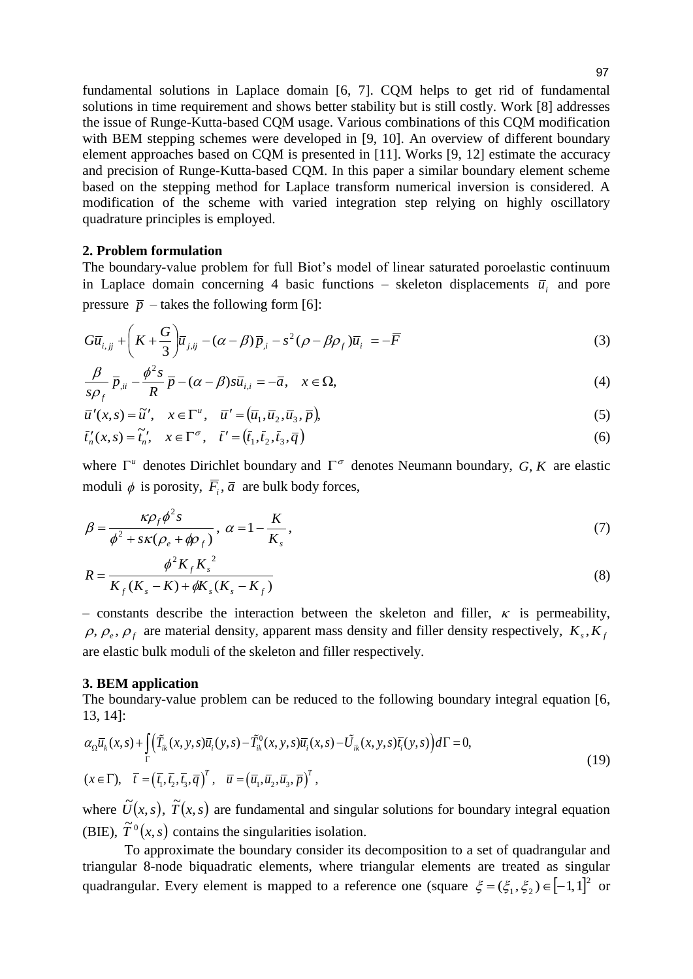fundamental solutions in Laplace domain [6, 7]. CQM helps to get rid of fundamental solutions in time requirement and shows better stability but is still costly. Work [8] addresses the issue of Runge-Kutta-based CQM usage. Various combinations of this CQM modification with BEM stepping schemes were developed in [9, 10]. An overview of different boundary element approaches based on CQM is presented in [11]. Works [9, 12] estimate the accuracy and precision of Runge-Kutta-based CQM. In this paper a similar boundary element scheme based on the stepping method for Laplace transform numerical inversion is considered. A modification of the scheme with varied integration step relying on highly oscillatory quadrature principles is employed.

#### **2. Problem formulation**

The boundary-value problem for full Biot's model of linear saturated poroelastic continuum in Laplace domain concerning 4 basic functions – skeleton displacements  $\overline{u}_i$  and pore pressure  $\bar{p}$  – takes the following form [6]:

$$
G\overline{u}_{i,jj} + \left(K + \frac{G}{3}\right)\overline{u}_{j,ij} - (\alpha - \beta)\overline{p}_{,i} - s^2(\rho - \beta\rho_f)\overline{u}_i = -\overline{F}
$$
\n(3)

$$
\frac{\beta}{s\rho_f} \overline{p}_{ii} - \frac{\phi^2 s}{R} \overline{p} - (\alpha - \beta)s\overline{u}_{i,i} = -\overline{a}, \quad x \in \Omega,
$$
\n(4)  
\n
$$
\overline{u}'(x, s) = \widetilde{u}', \quad x \in \Gamma^u, \quad \overline{u}' = (\overline{u}_1, \overline{u}_2, \overline{u}_3, \overline{p}),
$$

$$
\overline{u}'(x,s) = \widetilde{u}', \quad x \in \Gamma^u, \quad \overline{u}' = (\overline{u}_1, \overline{u}_2, \overline{u}_3, \overline{p}),
$$
  
\n
$$
\overline{t}'_n(x,s) = \widetilde{t}'_n, \quad x \in \Gamma^\sigma, \quad \overline{t}' = (\overline{t}_1, \overline{t}_2, \overline{t}_3, \overline{q})
$$
\n(6)

$$
\bar{t}'_n(x,s) = \tilde{t}'_n, \quad x \in \Gamma^{\sigma}, \quad \bar{t}' = (\bar{t}_1, \bar{t}_2, \bar{t}_3, \bar{q})
$$
\n
$$
(6)
$$

where  $\Gamma^u$  denotes Dirichlet boundary and  $\Gamma^{\sigma}$  denotes Neumann boundary, *G*, *K* are elastic moduli  $\phi$  is porosity,  $\overline{F}_i$ ,  $\overline{a}$  are bulk body forces,

$$
\beta = \frac{\kappa \rho_f \phi^2 s}{\phi^2 + s\kappa (\rho_e + \phi \rho_f)}, \ \alpha = 1 - \frac{K}{K_s},\tag{7}
$$

$$
R = \frac{\phi^2 K_f K_s^2}{K_f (K_s - K) + \phi K_s (K_s - K_f)}
$$
(8)

- constants describe the interaction between the skeleton and filler,  $\kappa$  is permeability,  $\rho$ ,  $\rho_e$ ,  $\rho_f$  are material density, apparent mass density and filler density respectively,  $K_s$ ,  $K_f$ are elastic bulk moduli of the skeleton and filler respectively.

#### **3. BEM application**

The boundary-value problem can be reduced to the following boundary integral equation [6,<br>13, 14]:<br> $\alpha_{\Omega} \bar{u}_k(x,s) + \int_{\Gamma} (\tilde{T}_{ik}(x,y,s)\bar{u}_i(y,s) - \tilde{T}_{ik}(x,y,s)\bar{u}_i(x,s) - \tilde{U}_{ik}(x,y,s)\bar{t}_i(y,s)) d\Gamma = 0,$  (10) 13, 14]:

13, 14]:  
\n
$$
\alpha_{\Omega} \overline{u}_{k}(x, s) + \int_{\Gamma} (\tilde{T}_{ik}(x, y, s) \overline{u}_{i}(y, s) - \tilde{T}_{ik}(x, y, s) \overline{u}_{i}(x, s) - \tilde{U}_{ik}(x, y, s) \overline{t}_{i}(y, s)) d\Gamma = 0,
$$
\n
$$
(x \in \Gamma), \quad \overline{t} = (\overline{t}_{1}, \overline{t}_{2}, \overline{t}_{3}, \overline{q})^{T}, \quad \overline{u} = (\overline{u}_{1}, \overline{u}_{2}, \overline{u}_{3}, \overline{p})^{T},
$$
\n(19)

where  $\tilde{U}(x, s)$ ,  $\tilde{T}(x, s)$  are fundamental and singular solutions for boundary integral equation (BIE),  $\tilde{T}^0(x, s)$  contains the singularities isolation.

To approximate the boundary consider its decomposition to a set of quadrangular and triangular 8-node biquadratic elements, where triangular elements are treated as singular quadrangular. Every element is mapped to a reference one (square  $\xi = (\xi_1, \xi_2) \in [-1, 1]^2$  or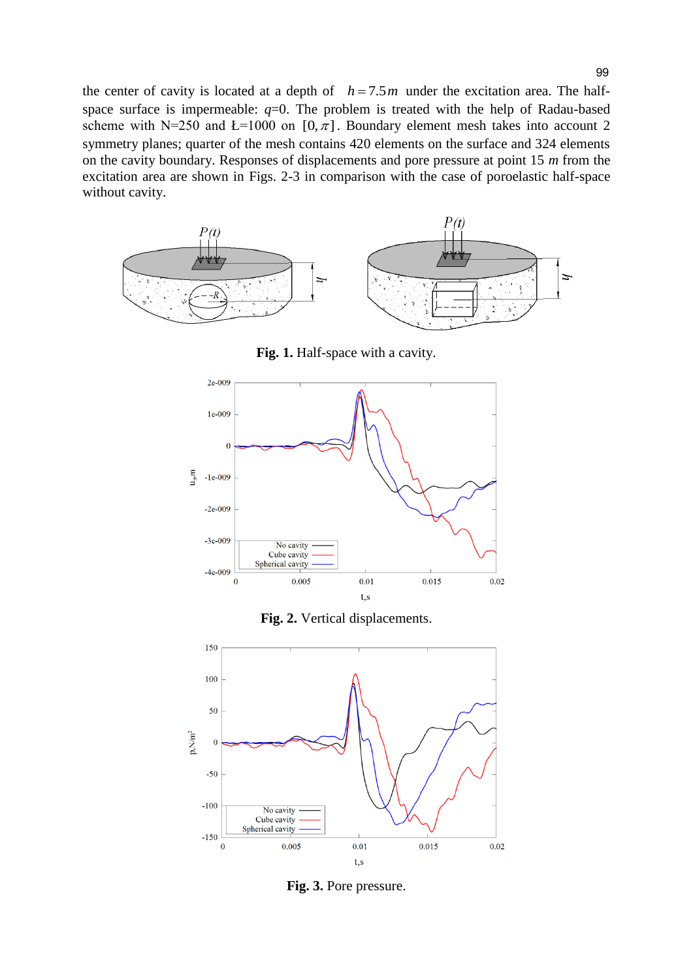the center of cavity is located at a depth of  $h = 7.5m$  under the excitation area. The halfspace surface is impermeable:  $q=0$ . The problem is treated with the help of Radau-based scheme with N=250 and L=1000 on [0, $\pi$ ]. Boundary element mesh takes into account 2 symmetry planes; quarter of the mesh contains 420 elements on the surface and 324 elements on the cavity boundary. Responses of displacements and pore pressure at point 15 *m* from the excitation area are shown in Figs. 2-3 in comparison with the case of poroelastic half-space without cavity.



**Fig. 1.** Half-space with a cavity.







**Fig. 3.** Pore pressure.